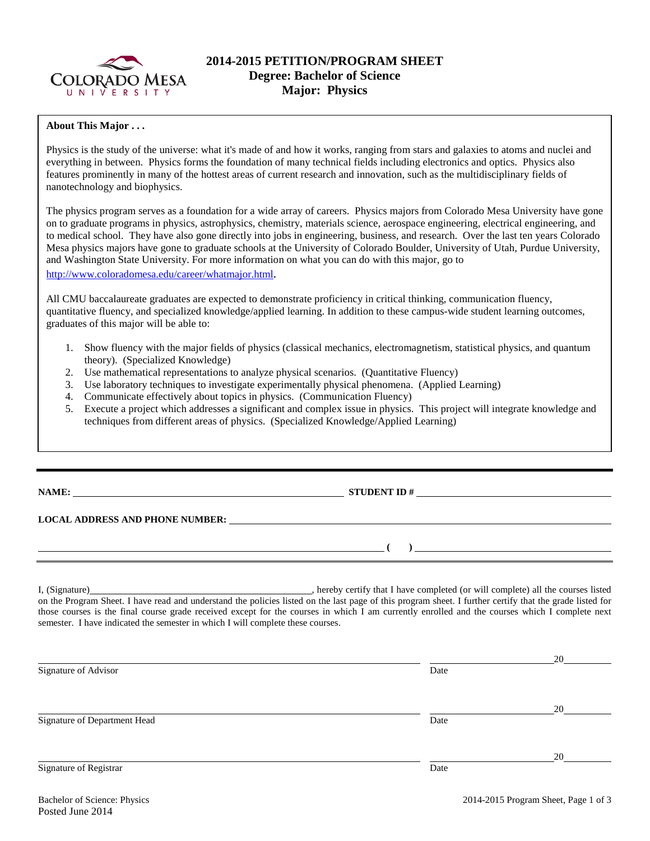

# **2014-2015 PETITION/PROGRAM SHEET Degree: Bachelor of Science Major: Physics**

### **About This Major . . .**

Physics is the study of the universe: what it's made of and how it works, ranging from stars and galaxies to atoms and nuclei and everything in between. Physics forms the foundation of many technical fields including electronics and optics. Physics also features prominently in many of the hottest areas of current research and innovation, such as the multidisciplinary fields of nanotechnology and biophysics.

The physics program serves as a foundation for a wide array of careers. Physics majors from Colorado Mesa University have gone on to graduate programs in physics, astrophysics, chemistry, materials science, aerospace engineering, electrical engineering, and to medical school. They have also gone directly into jobs in engineering, business, and research. Over the last ten years Colorado Mesa physics majors have gone to graduate schools at the University of Colorado Boulder, University of Utah, Purdue University, and Washington State University. For more information on what you can do with this major, go to [http://www.coloradomesa.edu/career/whatmajor.html.](http://www.coloradomesa.edu/career/whatmajor.html)

All CMU baccalaureate graduates are expected to demonstrate proficiency in critical thinking, communication fluency, quantitative fluency, and specialized knowledge/applied learning. In addition to these campus-wide student learning outcomes, graduates of this major will be able to:

- 1. Show fluency with the major fields of physics (classical mechanics, electromagnetism, statistical physics, and quantum theory). (Specialized Knowledge)
- 2. Use mathematical representations to analyze physical scenarios. (Quantitative Fluency)
- 3. Use laboratory techniques to investigate experimentally physical phenomena. (Applied Learning)
- 4. Communicate effectively about topics in physics. (Communication Fluency)
- 5. Execute a project which addresses a significant and complex issue in physics. This project will integrate knowledge and techniques from different areas of physics. (Specialized Knowledge/Applied Learning)

**NAME: STUDENT ID #** 

**LOCAL ADDRESS AND PHONE NUMBER:**

I, (Signature) **Source 2008** (Signature) , hereby certify that I have completed (or will complete) all the courses listed on the Program Sheet. I have read and understand the policies listed on the last page of this program sheet. I further certify that the grade listed for those courses is the final course grade received except for the courses in which I am currently enrolled and the courses which I complete next semester. I have indicated the semester in which I will complete these courses.

|      | 20 |
|------|----|
| Date |    |
|      |    |
|      | 20 |
| Date |    |
|      |    |
|      | 20 |
| Date |    |
|      |    |

**( )**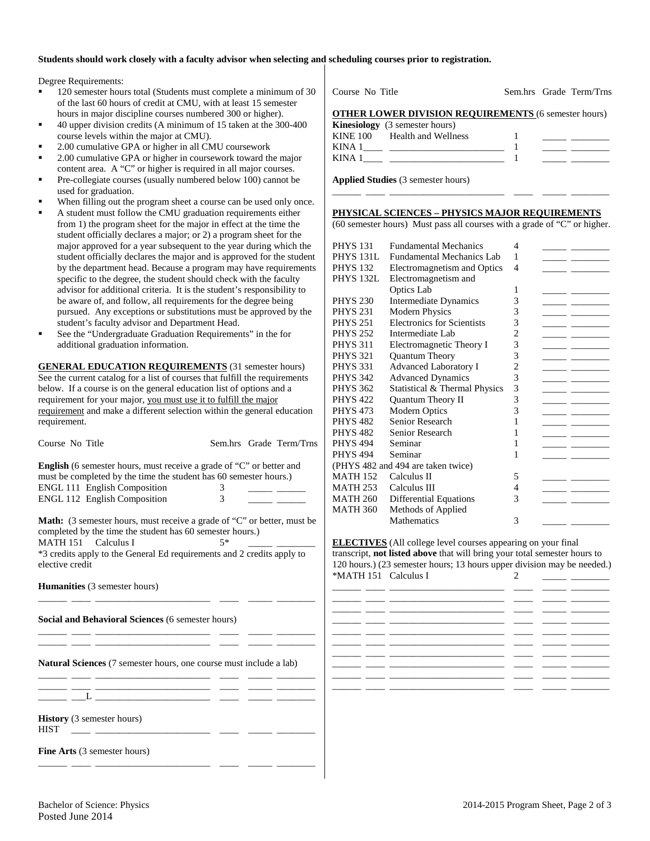### **Students should work closely with a faculty advisor when selecting and scheduling courses prior to registration.**

Degree Requirements:

- 120 semester hours total (Students must complete a minimum of 30 of the last 60 hours of credit at CMU, with at least 15 semester hours in major discipline courses numbered 300 or higher).
- 40 upper division credits (A minimum of 15 taken at the 300-400 course levels within the major at CMU).
- 2.00 cumulative GPA or higher in all CMU coursework
- 2.00 cumulative GPA or higher in coursework toward the major content area. A "C" or higher is required in all major courses.
- Pre-collegiate courses (usually numbered below 100) cannot be used for graduation.
- When filling out the program sheet a course can be used only once.
- A student must follow the CMU graduation requirements either from 1) the program sheet for the major in effect at the time the student officially declares a major; or 2) a program sheet for the major approved for a year subsequent to the year during which the student officially declares the major and is approved for the student by the department head. Because a program may have requirements specific to the degree, the student should check with the faculty advisor for additional criteria. It is the student's responsibility to be aware of, and follow, all requirements for the degree being pursued. Any exceptions or substitutions must be approved by the student's faculty advisor and Department Head.
- See the "Undergraduate Graduation Requirements" in the for additional graduation information.

**GENERAL EDUCATION REQUIREMENTS** (31 semester hours) See the current catalog for a list of courses that fulfill the requirements below. If a course is on the general education list of options and a requirement for your major, you must use it to fulfill the major requirement and make a different selection within the general education requirement.

| Course No Title                                                                                                                                                                                                                                                         |  |  | Sem.hrs Grade Term/Trns |  |  |  |
|-------------------------------------------------------------------------------------------------------------------------------------------------------------------------------------------------------------------------------------------------------------------------|--|--|-------------------------|--|--|--|
| English (6 semester hours, must receive a grade of "C" or better and<br>must be completed by the time the student has 60 semester hours.)<br><b>ENGL 111 English Composition</b><br>3<br>ENGL 112 English Composition<br>3                                              |  |  |                         |  |  |  |
| <b>Math:</b> (3 semester hours, must receive a grade of "C" or better, must be<br>completed by the time the student has 60 semester hours.)<br>MATH 151 Calculus I<br>$5*$<br>*3 credits apply to the General Ed requirements and 2 credits apply to<br>elective credit |  |  |                         |  |  |  |
| <b>Humanities</b> (3 semester hours)                                                                                                                                                                                                                                    |  |  |                         |  |  |  |
| Social and Behavioral Sciences (6 semester hours)                                                                                                                                                                                                                       |  |  |                         |  |  |  |
| Natural Sciences (7 semester hours, one course must include a lab)<br>the control of the control of the control of the control of the control of                                                                                                                        |  |  |                         |  |  |  |
|                                                                                                                                                                                                                                                                         |  |  |                         |  |  |  |
| <b>History</b> (3 semester hours)<br><b>HIST</b>                                                                                                                                                                                                                        |  |  |                         |  |  |  |

\_\_\_\_\_\_ \_\_\_\_ \_\_\_\_\_\_\_\_\_\_\_\_\_\_\_\_\_\_\_\_\_\_\_\_ \_\_\_\_ \_\_\_\_\_ \_\_\_\_\_\_\_\_

**Fine Arts** (3 semester hours)

| Course No Title                                             |  | Sem.hrs Grade Term/Trns |
|-------------------------------------------------------------|--|-------------------------|
| <b>OTHER LOWER DIVISION REQUIREMENTS (6 semester hours)</b> |  |                         |

|        | <b>Kinesiology</b> (3 semester hours) |  |
|--------|---------------------------------------|--|
|        | KINE 100 Health and Wellness          |  |
| KINA 1 |                                       |  |
| KINA 1 |                                       |  |
|        |                                       |  |

**Applied Studies** (3 semester hours)

#### **PHYSICAL SCIENCES – PHYSICS MAJOR REQUIREMENTS**

(60 semester hours) Must pass all courses with a grade of "C" or higher.

\_\_\_\_\_\_ \_\_\_\_ \_\_\_\_\_\_\_\_\_\_\_\_\_\_\_\_\_\_\_\_\_\_\_\_ \_\_\_\_ \_\_\_\_\_ \_\_\_\_\_\_\_\_

| <b>PHYS 131</b>                    | <b>Fundamental Mechanics</b>      | 4              |  |  |
|------------------------------------|-----------------------------------|----------------|--|--|
| PHYS 131L                          | Fundamental Mechanics Lab         | 1              |  |  |
| <b>PHYS 132</b>                    | Electromagnetism and Optics       | 4              |  |  |
| PHYS 132L                          | Electromagnetism and              |                |  |  |
|                                    | <b>Optics Lab</b>                 | 1              |  |  |
| <b>PHYS 230</b>                    | Intermediate Dynamics             | 3              |  |  |
| <b>PHYS 231</b>                    | <b>Modern Physics</b>             | 3              |  |  |
| <b>PHYS 251</b>                    | <b>Electronics for Scientists</b> | 3              |  |  |
| <b>PHYS 252</b>                    | Intermediate Lab                  | $\overline{2}$ |  |  |
| <b>PHYS 311</b>                    | Electromagnetic Theory I          | 3              |  |  |
| <b>PHYS 321</b>                    | Quantum Theory                    | 3              |  |  |
| <b>PHYS 331</b>                    | <b>Advanced Laboratory I</b>      | $\overline{2}$ |  |  |
| <b>PHYS 342</b>                    | <b>Advanced Dynamics</b>          | 3              |  |  |
| <b>PHYS 362</b>                    | Statistical & Thermal Physics     | 3              |  |  |
| <b>PHYS 422</b>                    | Quantum Theory II                 | 3              |  |  |
| <b>PHYS 473</b>                    | <b>Modern Optics</b>              | 3              |  |  |
| <b>PHYS 482</b>                    | Senior Research                   | 1              |  |  |
| <b>PHYS 482</b>                    | Senior Research                   | 1              |  |  |
| <b>PHYS 494</b>                    | Seminar                           | 1              |  |  |
| <b>PHYS 494</b>                    | Seminar                           | 1              |  |  |
| (PHYS 482 and 494 are taken twice) |                                   |                |  |  |
| <b>MATH 152</b>                    | Calculus II                       | 5              |  |  |
| <b>MATH 253</b>                    | Calculus III                      | 4              |  |  |
| <b>MATH 260</b>                    | <b>Differential Equations</b>     | 3              |  |  |
| <b>MATH 360</b>                    | Methods of Applied                |                |  |  |
|                                    | Mathematics                       | 3              |  |  |

**ELECTIVES** (All college level courses appearing on your final transcript, **not listed above** that will bring your total semester hours to 120 hours.) (23 semester hours; 13 hours upper division may be needed.) \*MATH 151 Calculus I 2